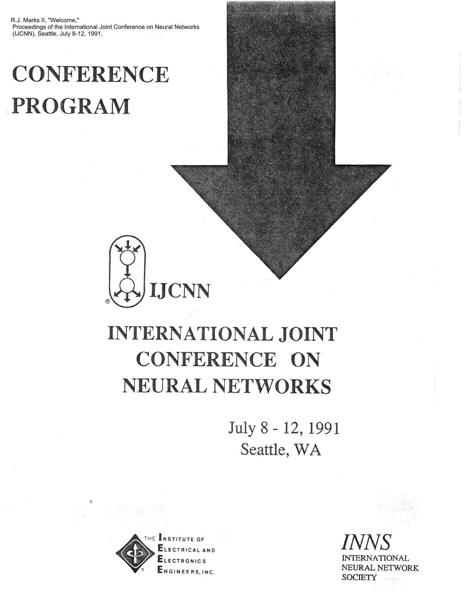R.J. Marks II, "Welcome," Proceedings of the International Joint Conference on Neural Networks (IJCNN), Seattle, July 8-12, 1991.

## **CONFERENCE PROGRAM**



## **INTERNATIONAL JOINT CONFERENCE ON NEURAL NETWORKS**

July 8 - 12, 1991 Seattle, WA



**LECTRICAL AND ONICS ENGINEERS.INC.**